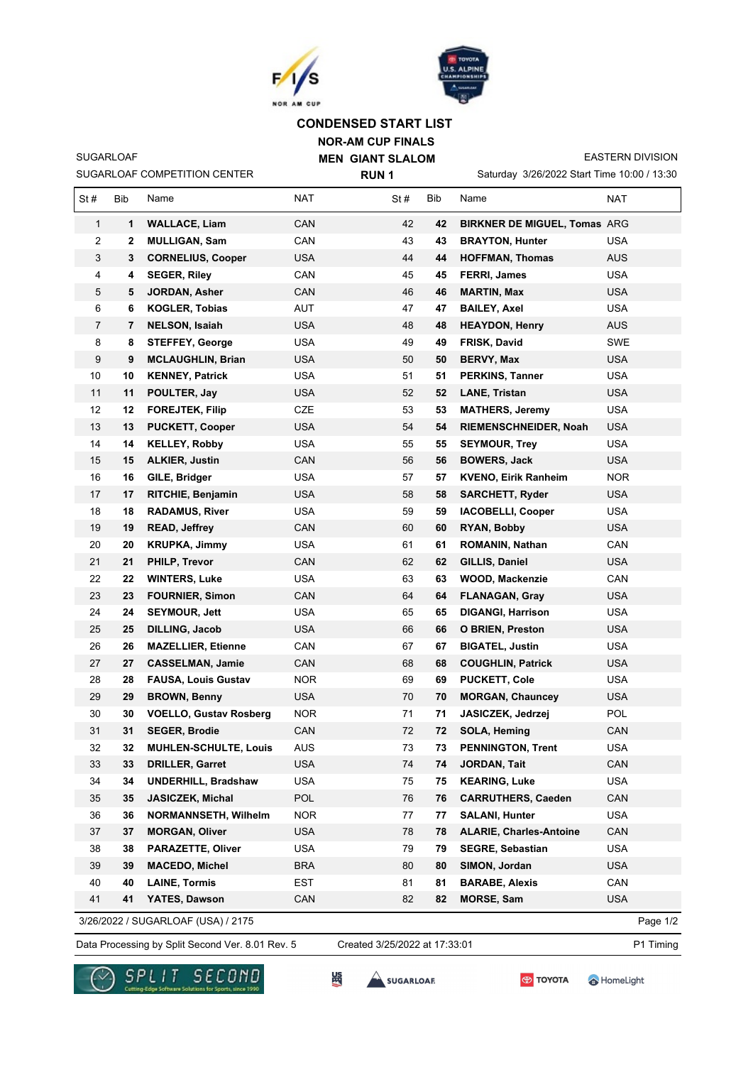

SUGARLOAF COMPETITION CENTER

SUGARLOAF



## **NOR-AM CUP FINALS CONDENSED START LIST**

**MEN GIANT SLALOM RUN 1**

Saturday 3/26/2022 Start Time 10:00 / 13:30 EASTERN DIVISION

| St#          | Bib | Name                          | NAT        | St# | Bib | Name                                | NAT        |
|--------------|-----|-------------------------------|------------|-----|-----|-------------------------------------|------------|
| $\mathbf{1}$ | 1   | <b>WALLACE, Liam</b>          | CAN        | 42  | 42  | <b>BIRKNER DE MIGUEL, Tomas ARG</b> |            |
| 2            | 2   | <b>MULLIGAN, Sam</b>          | CAN        | 43  | 43  | <b>BRAYTON, Hunter</b>              | <b>USA</b> |
| 3            | 3   | <b>CORNELIUS, Cooper</b>      | <b>USA</b> | 44  | 44  | <b>HOFFMAN, Thomas</b>              | <b>AUS</b> |
| 4            | 4   | <b>SEGER, Riley</b>           | CAN        | 45  | 45  | <b>FERRI, James</b>                 | <b>USA</b> |
| 5            | 5   | <b>JORDAN, Asher</b>          | CAN        | 46  | 46  | MARTIN, Max                         | <b>USA</b> |
| 6            | 6   | <b>KOGLER, Tobias</b>         | AUT        | 47  | 47  | <b>BAILEY, Axel</b>                 | <b>USA</b> |
| 7            | 7   | <b>NELSON, Isaiah</b>         | <b>USA</b> | 48  | 48  | <b>HEAYDON, Henry</b>               | <b>AUS</b> |
| 8            | 8   | <b>STEFFEY, George</b>        | <b>USA</b> | 49  | 49  | FRISK, David                        | <b>SWE</b> |
| 9            | 9   | <b>MCLAUGHLIN, Brian</b>      | <b>USA</b> | 50  | 50  | <b>BERVY, Max</b>                   | <b>USA</b> |
| 10           | 10  | <b>KENNEY, Patrick</b>        | <b>USA</b> | 51  | 51  | <b>PERKINS, Tanner</b>              | <b>USA</b> |
| 11           | 11  | POULTER, Jay                  | <b>USA</b> | 52  | 52  | <b>LANE, Tristan</b>                | <b>USA</b> |
| 12           | 12  | <b>FOREJTEK, Filip</b>        | <b>CZE</b> | 53  | 53  | <b>MATHERS, Jeremy</b>              | <b>USA</b> |
| 13           | 13  | <b>PUCKETT, Cooper</b>        | <b>USA</b> | 54  | 54  | <b>RIEMENSCHNEIDER, Noah</b>        | <b>USA</b> |
| 14           | 14  | <b>KELLEY, Robby</b>          | <b>USA</b> | 55  | 55  | <b>SEYMOUR, Trey</b>                | USA        |
| 15           | 15  | <b>ALKIER, Justin</b>         | <b>CAN</b> | 56  | 56  | <b>BOWERS, Jack</b>                 | <b>USA</b> |
| 16           | 16  | GILE, Bridger                 | <b>USA</b> | 57  | 57  | <b>KVENO, Eirik Ranheim</b>         | <b>NOR</b> |
| 17           | 17  | RITCHIE, Benjamin             | <b>USA</b> | 58  | 58  | <b>SARCHETT, Ryder</b>              | <b>USA</b> |
| 18           | 18  | <b>RADAMUS, River</b>         | <b>USA</b> | 59  | 59  | <b>IACOBELLI, Cooper</b>            | <b>USA</b> |
| 19           | 19  | <b>READ, Jeffrey</b>          | CAN        | 60  | 60  | RYAN, Bobby                         | <b>USA</b> |
| 20           | 20  | <b>KRUPKA, Jimmy</b>          | <b>USA</b> | 61  | 61  | <b>ROMANIN, Nathan</b>              | CAN        |
| 21           | 21  | PHILP, Trevor                 | CAN        | 62  | 62  | GILLIS, Daniel                      | <b>USA</b> |
| 22           | 22  | <b>WINTERS, Luke</b>          | <b>USA</b> | 63  | 63  | WOOD, Mackenzie                     | CAN        |
| 23           | 23  | <b>FOURNIER, Simon</b>        | CAN        | 64  | 64  | <b>FLANAGAN, Gray</b>               | <b>USA</b> |
| 24           | 24  | <b>SEYMOUR, Jett</b>          | <b>USA</b> | 65  | 65  | <b>DIGANGI, Harrison</b>            | <b>USA</b> |
| 25           | 25  | <b>DILLING, Jacob</b>         | <b>USA</b> | 66  | 66  | <b>O BRIEN, Preston</b>             | <b>USA</b> |
| 26           | 26  | <b>MAZELLIER, Etienne</b>     | CAN        | 67  | 67  | <b>BIGATEL, Justin</b>              | <b>USA</b> |
| 27           | 27  | <b>CASSELMAN, Jamie</b>       | CAN        | 68  | 68  | <b>COUGHLIN, Patrick</b>            | <b>USA</b> |
| 28           | 28  | <b>FAUSA, Louis Gustav</b>    | <b>NOR</b> | 69  | 69  | <b>PUCKETT, Cole</b>                | <b>USA</b> |
| 29           | 29  | <b>BROWN, Benny</b>           | <b>USA</b> | 70  | 70  | <b>MORGAN, Chauncey</b>             | <b>USA</b> |
| 30           | 30  | <b>VOELLO, Gustav Rosberg</b> | <b>NOR</b> | 71  | 71  | JASICZEK, Jedrzej                   | <b>POL</b> |
| 31           | 31  | <b>SEGER, Brodie</b>          | <b>CAN</b> | 72  | 72  | SOLA, Heming                        | CAN        |
| 32           | 32  | <b>MUHLEN-SCHULTE, Louis</b>  | AUS        | 73  | 73  | <b>PENNINGTON, Trent</b>            | <b>USA</b> |
| 33           | 33  | <b>DRILLER, Garret</b>        | <b>USA</b> | 74  | 74  | JORDAN, Tait                        | CAN        |
| 34           | 34  | <b>UNDERHILL, Bradshaw</b>    | <b>USA</b> | 75  | 75  | <b>KEARING, Luke</b>                | <b>USA</b> |
| 35           | 35  | <b>JASICZEK, Michal</b>       | <b>POL</b> | 76  | 76  | <b>CARRUTHERS, Caeden</b>           | CAN        |
| 36           | 36  | <b>NORMANNSETH, Wilhelm</b>   | <b>NOR</b> | 77  | 77  | <b>SALANI, Hunter</b>               | <b>USA</b> |
| 37           | 37  | <b>MORGAN, Oliver</b>         | <b>USA</b> | 78  | 78  | <b>ALARIE, Charles-Antoine</b>      | CAN        |
| 38           | 38  | <b>PARAZETTE, Oliver</b>      | <b>USA</b> | 79  | 79  | <b>SEGRE, Sebastian</b>             | <b>USA</b> |
| 39           | 39  | <b>MACEDO, Michel</b>         | <b>BRA</b> | 80  | 80  | SIMON, Jordan                       | <b>USA</b> |
| 40           | 40  | <b>LAINE, Tormis</b>          | EST        | 81  | 81  | <b>BARABE, Alexis</b>               | CAN        |
| 41           | 41  | YATES, Dawson                 | CAN        | 82  | 82  | <b>MORSE, Sam</b>                   | <b>USA</b> |

3/26/2022 / SUGARLOAF (USA) / 2175

Created 3/25/2022 at 17:33:01





SUGARLOAF

**SEC**